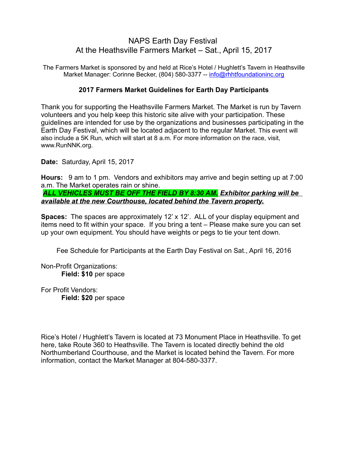## NAPS Earth Day Festival At the Heathsville Farmers Market – Sat., April 15, 2017

The Farmers Market is sponsored by and held at Rice's Hotel / Hughlett's Tavern in Heathsville Market Manager: Corinne Becker, (804) 580-3377 -- [info@rhhtfoundationinc.org](mailto:info@rhhtfoundation.org)

### **2017 Farmers Market Guidelines for Earth Day Participants**

Thank you for supporting the Heathsville Farmers Market. The Market is run by Tavern volunteers and you help keep this historic site alive with your participation. These guidelines are intended for use by the organizations and businesses participating in the Earth Day Festival, which will be located adjacent to the regular Market. This event will also include a 5K Run, which will start at 8 a.m. For more information on the race, visit, www.RunNNK.org.

**Date:** Saturday, April 15, 2017

**Hours:** 9 am to 1 pm. Vendors and exhibitors may arrive and begin setting up at 7:00 a.m. The Market operates rain or shine.

 *ALL VEHICLES MUST BE OFF THE FIELD BY 8:30 AM. Exhibitor parking will be available at the new Courthouse, located behind the Tavern property.*

**Spaces:** The spaces are approximately 12' x 12'. ALL of your display equipment and items need to fit within your space. If you bring a tent – Please make sure you can set up your own equipment. You should have weights or pegs to tie your tent down.

Fee Schedule for Participants at the Earth Day Festival on Sat., April 16, 2016

Non-Profit Organizations: **Field: \$10** per space

For Profit Vendors: **Field: \$20** per space

Rice's Hotel / Hughlett's Tavern is located at 73 Monument Place in Heathsville. To get here, take Route 360 to Heathsville. The Tavern is located directly behind the old Northumberland Courthouse, and the Market is located behind the Tavern. For more information, contact the Market Manager at 804-580-3377.